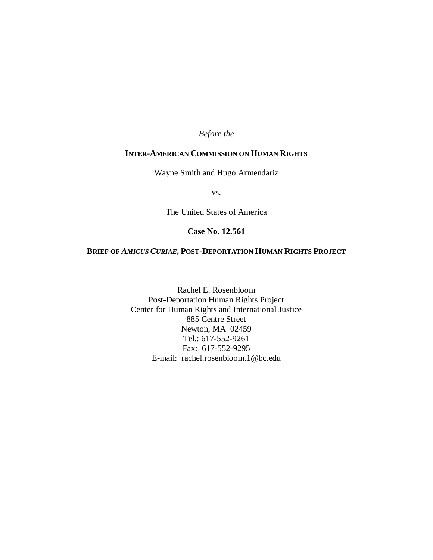# *Before the*

# **INTER-AMERICAN COMMISSION ON HUMAN RIGHTS**

Wayne Smith and Hugo Armendariz

vs.

The United States of America

# **Case No. 12.561**

# **BRIEF OF** *AMICUS CURIAE***, POST-DEPORTATION HUMAN RIGHTS PROJECT**

Rachel E. Rosenbloom Post-Deportation Human Rights Project Center for Human Rights and International Justice 885 Centre Street Newton, MA 02459 Tel.: 617-552-9261 Fax: 617-552-9295 E-mail: rachel.rosenbloom.1@bc.edu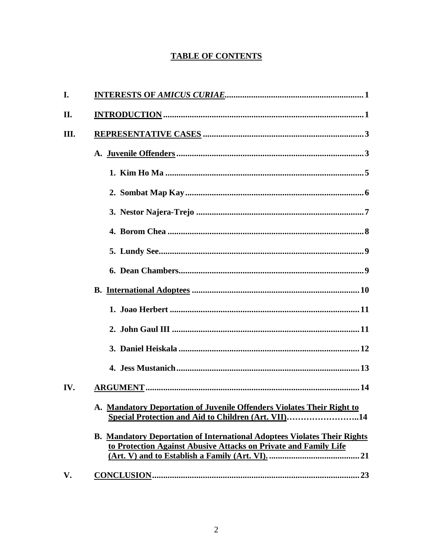# **TABLE OF CONTENTS**

| I.  |                                                                                                                                                     |
|-----|-----------------------------------------------------------------------------------------------------------------------------------------------------|
| П.  |                                                                                                                                                     |
| Ш.  |                                                                                                                                                     |
|     |                                                                                                                                                     |
|     |                                                                                                                                                     |
|     |                                                                                                                                                     |
|     |                                                                                                                                                     |
|     |                                                                                                                                                     |
|     |                                                                                                                                                     |
|     |                                                                                                                                                     |
|     |                                                                                                                                                     |
|     |                                                                                                                                                     |
|     |                                                                                                                                                     |
|     |                                                                                                                                                     |
|     |                                                                                                                                                     |
| IV. |                                                                                                                                                     |
|     | A. Mandatory Deportation of Juvenile Offenders Violates Their Right to<br>Special Protection and Aid to Children (Art. VII)14                       |
|     | <b>B. Mandatory Deportation of International Adoptees Violates Their Rights</b><br>to Protection Against Abusive Attacks on Private and Family Life |
| V.  | $CONCLUSION 23$                                                                                                                                     |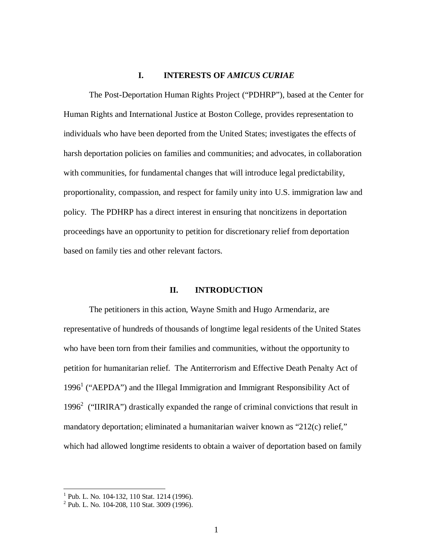# **I. INTERESTS OF** *AMICUS CURIAE*

The Post-Deportation Human Rights Project ("PDHRP"), based at the Center for Human Rights and International Justice at Boston College, provides representation to individuals who have been deported from the United States; investigates the effects of harsh deportation policies on families and communities; and advocates, in collaboration with communities, for fundamental changes that will introduce legal predictability, proportionality, compassion, and respect for family unity into U.S. immigration law and policy. The PDHRP has a direct interest in ensuring that noncitizens in deportation proceedings have an opportunity to petition for discretionary relief from deportation based on family ties and other relevant factors.

#### **II. INTRODUCTION**

The petitioners in this action, Wayne Smith and Hugo Armendariz, are representative of hundreds of thousands of longtime legal residents of the United States who have been torn from their families and communities, without the opportunity to petition for humanitarian relief. The Antiterrorism and Effective Death Penalty Act of 1996<sup>1</sup> ("AEPDA") and the Illegal Immigration and Immigrant Responsibility Act of 1996<sup>2</sup> ("IIRIRA") drastically expanded the range of criminal convictions that result in mandatory deportation; eliminated a humanitarian waiver known as "212(c) relief," which had allowed longtime residents to obtain a waiver of deportation based on family

<sup>&</sup>lt;sup>1</sup> Pub. L. No. 104-132, 110 Stat. 1214 (1996).<br><sup>2</sup> Pub. L. No. 104-208, 110 Stat. 3009 (1996).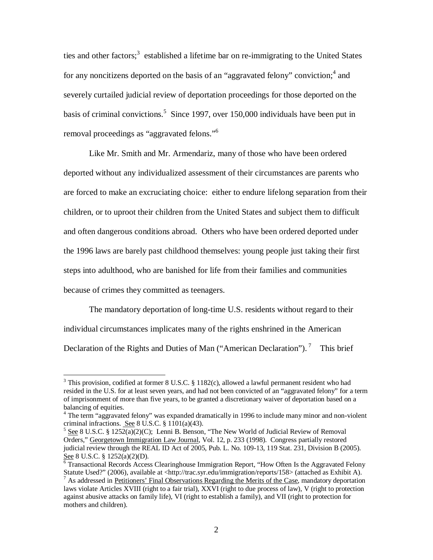ties and other factors;<sup>3</sup> established a lifetime bar on re-immigrating to the United States for any noncitizens deported on the basis of an "aggravated felony" conviction;<sup>4</sup> and severely curtailed judicial review of deportation proceedings for those deported on the basis of criminal convictions. 5 Since 1997, over 150,000 individuals have been put in removal proceedings as "aggravated felons."<sup>6</sup>

Like Mr. Smith and Mr. Armendariz, many of those who have been ordered deported without any individualized assessment of their circumstances are parents who are forced to make an excruciating choice: either to endure lifelong separation from their children, or to uproot their children from the United States and subject them to difficult and often dangerous conditions abroad. Others who have been ordered deported under the 1996 laws are barely past childhood themselves: young people just taking their first steps into adulthood, who are banished for life from their families and communities because of crimes they committed as teenagers.

The mandatory deportation of long-time U.S. residents without regard to their individual circumstances implicates many of the rights enshrined in the American Declaration of the Rights and Duties of Man ("American Declaration").<sup>7</sup> This brief

<sup>&</sup>lt;sup>3</sup> This provision, codified at former 8 U.S.C. § 1182(c), allowed a lawful permanent resident who had resided in the U.S. for at least seven years, and had not been convicted of an "aggravated felony" for a term of imprisonment of more than five years, to be granted a discretionary waiver of deportation based on a balancing of equities.

<sup>&</sup>lt;sup>4</sup> The term "aggravated felony" was expanded dramatically in 1996 to include many minor and non-violent criminal infractions. See 8 U.S.C. § 1101(a)(43).

<sup>5</sup> See 8 U.S.C. § 1252(a)(2)(C); Lenni B. Benson, "The New World of Judicial Review of Removal Orders," Georgetown Immigration Law Journal, Vol. 12, p. 233 (1998). Congress partially restored judicial review through the REAL ID Act of 2005, Pub. L. No. 109-13, 119 Stat. 231, Division B (2005). See 8 U.S.C. § 1252(a)(2)(D).

<sup>6</sup> Transactional Records Access Clearinghouse Immigration Report, "How Often Is the Aggravated Felony Statute Used?" (2006), available at <http://trac.syr.edu/immigration/reports/158> (attached as Exhibit A).  $<sup>7</sup>$  As addressed in Petitioners' Final Observations Regarding the Merits of the Case, mandatory deportation</sup>

laws violate Articles XVIII (right to a fair trial), XXVI (right to due process of law), V (right to protection against abusive attacks on family life), VI (right to establish a family), and VII (right to protection for mothers and children).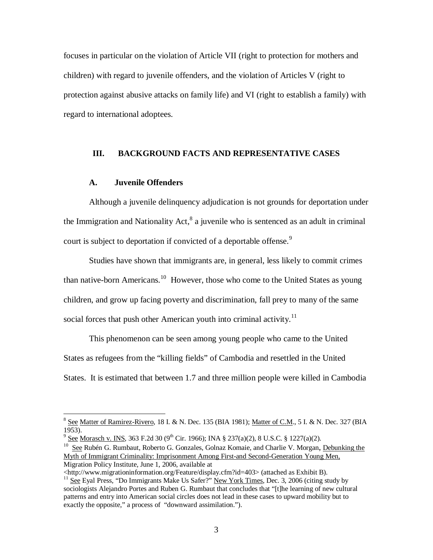focuses in particular on the violation of Article VII (right to protection for mothers and children) with regard to juvenile offenders, and the violation of Articles V (right to protection against abusive attacks on family life) and VI (right to establish a family) with regard to international adoptees.

# **III. BACKGROUND FACTS AND REPRESENTATIVE CASES**

# **A. Juvenile Offenders**

Although a juvenile delinquency adjudication is not grounds for deportation under the Immigration and Nationality Act,<sup>8</sup> a juvenile who is sentenced as an adult in criminal court is subject to deportation if convicted of a deportable offense.<sup>9</sup>

Studies have shown that immigrants are, in general, less likely to commit crimes than native-born Americans.<sup>10</sup> However, those who come to the United States as young children, and grow up facing poverty and discrimination, fall prey to many of the same social forces that push other American youth into criminal activity.<sup>11</sup>

This phenomenon can be seen among young people who came to the United States as refugees from the "killing fields" of Cambodia and resettled in the United States. It is estimated that between 1.7 and three million people were killed in Cambodia

<http://www.migrationinformation.org/Feature/display.cfm?id=403> (attached as Exhibit B).

<sup>8</sup> See Matter of Ramirez-Rivero, 18 I. & N. Dec. 135 (BIA 1981); Matter of C.M., 5 I. & N. Dec. 327 (BIA 1953).

 $^9$  <u>See Morasch v. INS</u>, 363 F.2d 30 (9<sup>th</sup> Cir. 1966); INA § 237(a)(2), 8 U.S.C. § 1227(a)(2).

<sup>&</sup>lt;sup>10</sup> See Rubén G. Rumbaut, Roberto G. Gonzales, Golnaz Komaie, and Charlie V. Morgan, Debunking the Myth of Immigrant Criminality: Imprisonment Among First-and Second-Generation Young Men, Migration Policy Institute, June 1, 2006, available at

<sup>&</sup>lt;sup>11</sup> See Eyal Press, "Do Immigrants Make Us Safer?" New York Times, Dec. 3, 2006 (citing study by sociologists Alejandro Portes and Ruben G. Rumbaut that concludes that "[t]he learning of new cultural patterns and entry into American social circles does not lead in these cases to upward mobility but to exactly the opposite," a process of "downward assimilation.").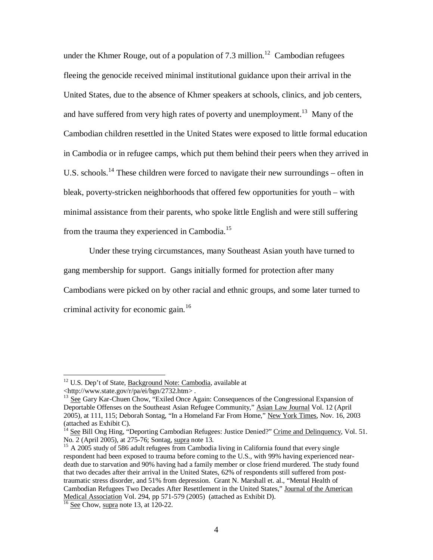under the Khmer Rouge, out of a population of 7.3 million.<sup>12</sup> Cambodian refugees fleeing the genocide received minimal institutional guidance upon their arrival in the United States, due to the absence of Khmer speakers at schools, clinics, and job centers, and have suffered from very high rates of poverty and unemployment.<sup>13</sup> Many of the Cambodian children resettled in the United States were exposed to little formal education in Cambodia or in refugee camps, which put them behind their peers when they arrived in U.S. schools.<sup>14</sup> These children were forced to navigate their new surroundings – often in bleak, poverty-stricken neighborhoods that offered few opportunities for youth – with minimal assistance from their parents, who spoke little English and were still suffering from the trauma they experienced in Cambodia.<sup>15</sup>

Under these trying circumstances, many Southeast Asian youth have turned to gang membership for support. Gangs initially formed for protection after many Cambodians were picked on by other racial and ethnic groups, and some later turned to criminal activity for economic gain. 16

<sup>&</sup>lt;sup>12</sup> U.S. Dep't of State, Background Note: Cambodia, available at <http://www.state.gov/r/pa/ei/bgn/2732.htm> .

<sup>&</sup>lt;sup>13</sup> See Gary Kar-Chuen Chow, "Exiled Once Again: Consequences of the Congressional Expansion of Deportable Offenses on the Southeast Asian Refugee Community," Asian Law Journal Vol. 12 (April 2005), at 111, 115; Deborah Sontag, "In a Homeland Far From Home," New York Times, Nov. 16, 2003 (attached as Exhibit C).

<sup>14</sup> See Bill Ong Hing, "Deporting Cambodian Refugees: Justice Denied?" Crime and Delinquency, Vol. 51. No. 2 (April 2005), at 275-76; Sontag, supra note 13.

 $15$  A 2005 study of 586 adult refugees from Cambodia living in California found that every single respondent had been exposed to trauma before coming to the U.S., with 99% having experienced neardeath due to starvation and 90% having had a family member or close friend murdered. The study found that two decades after their arrival in the United States, 62% of respondents still suffered from posttraumatic stress disorder, and 51% from depression. Grant N. Marshall et. al., "Mental Health of Cambodian Refugees Two Decades After Resettlement in the United States," Journal of the American Medical Association Vol. 294, pp 571-579 (2005) (attached as Exhibit D).

<sup>16</sup> See Chow, supra note 13, at 120-22.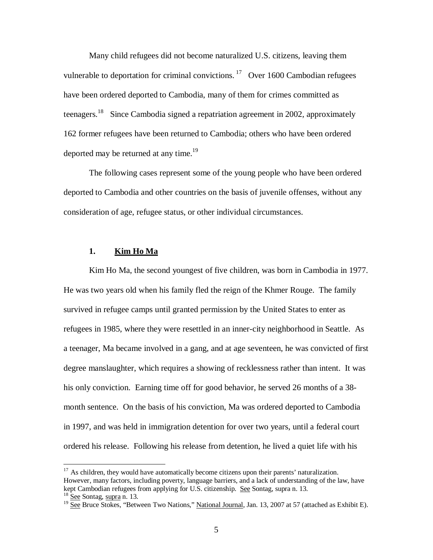Many child refugees did not become naturalized U.S. citizens, leaving them vulnerable to deportation for criminal convictions.<sup>17</sup> Over 1600 Cambodian refugees have been ordered deported to Cambodia, many of them for crimes committed as teenagers.<sup>18</sup> Since Cambodia signed a repatriation agreement in 2002, approximately 162 former refugees have been returned to Cambodia; others who have been ordered deported may be returned at any time.<sup>19</sup>

The following cases represent some of the young people who have been ordered deported to Cambodia and other countries on the basis of juvenile offenses, without any consideration of age, refugee status, or other individual circumstances.

#### **1. Kim Ho Ma**

Kim Ho Ma, the second youngest of five children, was born in Cambodia in 1977. He was two years old when his family fled the reign of the Khmer Rouge. The family survived in refugee camps until granted permission by the United States to enter as refugees in 1985, where they were resettled in an inner-city neighborhood in Seattle. As a teenager, Ma became involved in a gang, and at age seventeen, he was convicted of first degree manslaughter, which requires a showing of recklessness rather than intent. It was his only conviction. Earning time off for good behavior, he served 26 months of a 38 month sentence. On the basis of his conviction, Ma was ordered deported to Cambodia in 1997, and was held in immigration detention for over two years, until a federal court ordered his release. Following his release from detention, he lived a quiet life with his

<sup>&</sup>lt;sup>17</sup> As children, they would have automatically become citizens upon their parents' naturalization. However, many factors, including poverty, language barriers, and a lack of understanding of the law, have kept Cambodian refugees from applying for U.S. citizenship. See Sontag, supra n. 13.

<sup>&</sup>lt;sup>18</sup> See Sontag, supra n. 13.<br><sup>19</sup> See Bruce Stokes, "Between Two Nations," <u>National Journal</u>, Jan. 13, 2007 at 57 (attached as Exhibit E).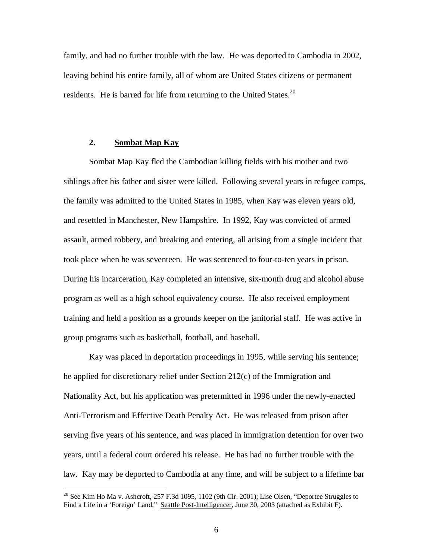family, and had no further trouble with the law. He was deported to Cambodia in 2002, leaving behind his entire family, all of whom are United States citizens or permanent residents. He is barred for life from returning to the United States.<sup>20</sup>

#### **2. Sombat Map Kay**

Sombat Map Kay fled the Cambodian killing fields with his mother and two siblings after his father and sister were killed. Following several years in refugee camps, the family was admitted to the United States in 1985, when Kay was eleven years old, and resettled in Manchester, New Hampshire. In 1992, Kay was convicted of armed assault, armed robbery, and breaking and entering, all arising from a single incident that took place when he was seventeen. He was sentenced to four-to-ten years in prison. During his incarceration, Kay completed an intensive, six-month drug and alcohol abuse program as well as a high school equivalency course. He also received employment training and held a position as a grounds keeper on the janitorial staff. He was active in group programs such as basketball, football, and baseball.

Kay was placed in deportation proceedings in 1995, while serving his sentence; he applied for discretionary relief under Section 212(c) of the Immigration and Nationality Act, but his application was pretermitted in 1996 under the newly-enacted Anti-Terrorism and Effective Death Penalty Act. He was released from prison after serving five years of his sentence, and was placed in immigration detention for over two years, until a federal court ordered his release. He has had no further trouble with the law. Kay may be deported to Cambodia at any time, and will be subject to a lifetime bar

 $^{20}$  See Kim Ho Ma v. Ashcroft, 257 F.3d 1095, 1102 (9th Cir. 2001); Lise Olsen, "Deportee Struggles to Find a Life in a 'Foreign' Land," Seattle Post-Intelligencer, June 30, 2003 (attached as Exhibit F).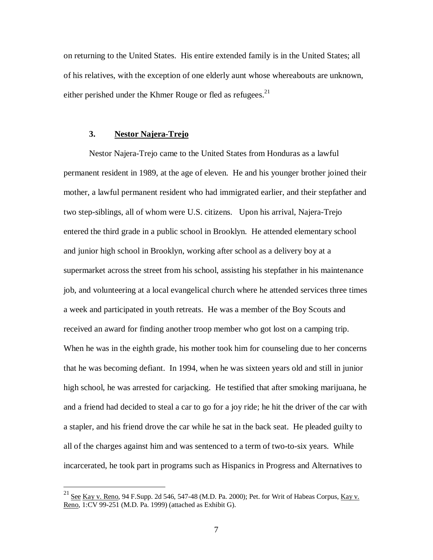on returning to the United States. His entire extended family is in the United States; all of his relatives, with the exception of one elderly aunt whose whereabouts are unknown, either perished under the Khmer Rouge or fled as refugees.<sup>21</sup>

# **3. Nestor Najera-Trejo**

Nestor Najera-Trejo came to the United States from Honduras as a lawful permanent resident in 1989, at the age of eleven. He and his younger brother joined their mother, a lawful permanent resident who had immigrated earlier, and their stepfather and two step-siblings, all of whom were U.S. citizens. Upon his arrival, Najera-Trejo entered the third grade in a public school in Brooklyn. He attended elementary school and junior high school in Brooklyn, working after school as a delivery boy at a supermarket across the street from his school, assisting his stepfather in his maintenance job, and volunteering at a local evangelical church where he attended services three times a week and participated in youth retreats. He was a member of the Boy Scouts and received an award for finding another troop member who got lost on a camping trip. When he was in the eighth grade, his mother took him for counseling due to her concerns that he was becoming defiant. In 1994, when he was sixteen years old and still in junior high school, he was arrested for carjacking. He testified that after smoking marijuana, he and a friend had decided to steal a car to go for a joy ride; he hit the driver of the car with a stapler, and his friend drove the car while he sat in the back seat. He pleaded guilty to all of the charges against him and was sentenced to a term of two-to-six years. While incarcerated, he took part in programs such as Hispanics in Progress and Alternatives to

 $^{21}$  <u>See Kay v. Reno,</u> 94 F.Supp. 2d 546, 547-48 (M.D. Pa. 2000); Pet. for Writ of Habeas Corpus, <u>Kay v.</u> Reno, 1:CV 99-251 (M.D. Pa. 1999) (attached as Exhibit G).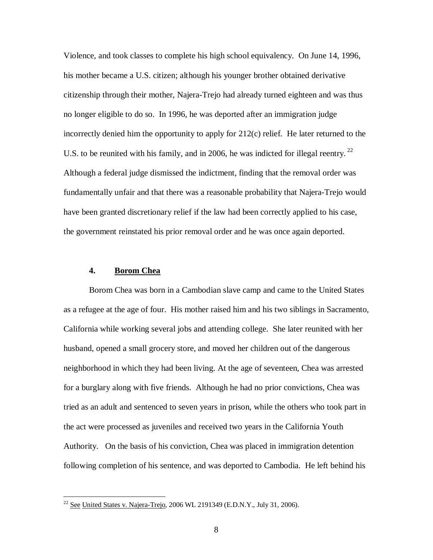Violence, and took classes to complete his high school equivalency. On June 14, 1996, his mother became a U.S. citizen; although his younger brother obtained derivative citizenship through their mother, Najera-Trejo had already turned eighteen and was thus no longer eligible to do so. In 1996, he was deported after an immigration judge incorrectly denied him the opportunity to apply for 212(c) relief. He later returned to the U.S. to be reunited with his family, and in 2006, he was indicted for illegal reentry.  $^{22}$ Although a federal judge dismissed the indictment, finding that the removal order was fundamentally unfair and that there was a reasonable probability that Najera-Trejo would have been granted discretionary relief if the law had been correctly applied to his case, the government reinstated his prior removal order and he was once again deported.

### **4. Borom Chea**

Borom Chea was born in a Cambodian slave camp and came to the United States as a refugee at the age of four. His mother raised him and his two siblings in Sacramento, California while working several jobs and attending college. She later reunited with her husband, opened a small grocery store, and moved her children out of the dangerous neighborhood in which they had been living. At the age of seventeen, Chea was arrested for a burglary along with five friends. Although he had no prior convictions, Chea was tried as an adult and sentenced to seven years in prison, while the others who took part in the act were processed as juveniles and received two years in the California Youth Authority. On the basis of his conviction, Chea was placed in immigration detention following completion of his sentence, and was deported to Cambodia. He left behind his

 $22$  See United States v. Najera-Trejo, 2006 WL 2191349 (E.D.N.Y., July 31, 2006).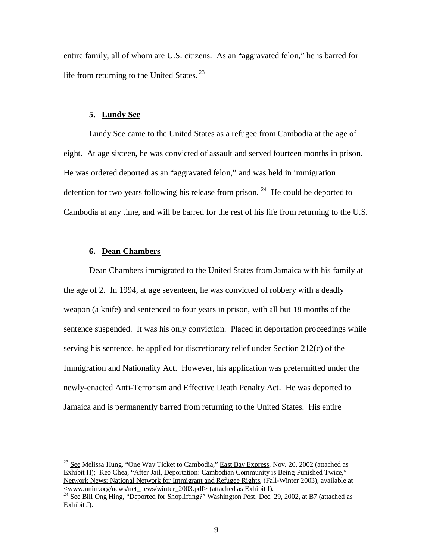entire family, all of whom are U.S. citizens. As an "aggravated felon," he is barred for life from returning to the United States.<sup>23</sup>

#### **5. Lundy See**

Lundy See came to the United States as a refugee from Cambodia at the age of eight. At age sixteen, he was convicted of assault and served fourteen months in prison. He was ordered deported as an "aggravated felon," and was held in immigration detention for two years following his release from prison.<sup>24</sup> He could be deported to Cambodia at any time, and will be barred for the rest of his life from returning to the U.S.

## **6. Dean Chambers**

Dean Chambers immigrated to the United States from Jamaica with his family at the age of 2. In 1994, at age seventeen, he was convicted of robbery with a deadly weapon (a knife) and sentenced to four years in prison, with all but 18 months of the sentence suspended. It was his only conviction. Placed in deportation proceedings while serving his sentence, he applied for discretionary relief under Section 212(c) of the Immigration and Nationality Act. However, his application was pretermitted under the newly-enacted Anti-Terrorism and Effective Death Penalty Act. He was deported to Jamaica and is permanently barred from returning to the United States. His entire

<sup>&</sup>lt;sup>23</sup> See Melissa Hung, "One Way Ticket to Cambodia," East Bay Express, Nov. 20, 2002 (attached as Exhibit H); Keo Chea, "After Jail, Deportation: Cambodian Community is Being Punished Twice," Network News: National Network for Immigrant and Refugee Rights, (Fall-Winter 2003), available at <www.nnirr.org/news/net\_news/winter\_2003.pdf> (attached as Exhibit I).

<sup>&</sup>lt;sup>24</sup> See Bill Ong Hing, "Deported for Shoplifting?" Washington Post, Dec. 29, 2002, at B7 (attached as Exhibit J).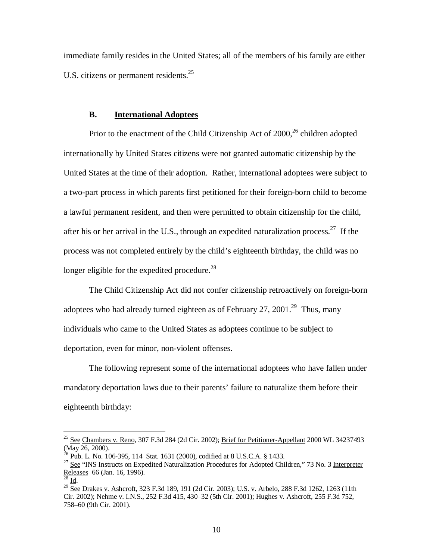immediate family resides in the United States; all of the members of his family are either U.S. citizens or permanent residents.<sup>25</sup>

#### **B. International Adoptees**

Prior to the enactment of the Child Citizenship Act of 2000,<sup>26</sup> children adopted internationally by United States citizens were not granted automatic citizenship by the United States at the time of their adoption. Rather, international adoptees were subject to a two-part process in which parents first petitioned for their foreign-born child to become a lawful permanent resident, and then were permitted to obtain citizenship for the child, after his or her arrival in the U.S., through an expedited naturalization process.<sup>27</sup> If the process was not completed entirely by the child's eighteenth birthday, the child was no longer eligible for the expedited procedure.<sup>28</sup>

The Child Citizenship Act did not confer citizenship retroactively on foreign-born adoptees who had already turned eighteen as of February 27, 2001.<sup>29</sup> Thus, many individuals who came to the United States as adoptees continue to be subject to deportation, even for minor, non-violent offenses.

The following represent some of the international adoptees who have fallen under mandatory deportation laws due to their parents' failure to naturalize them before their eighteenth birthday:

<sup>&</sup>lt;sup>25</sup> See Chambers v. Reno, 307 F.3d 284 (2d Cir. 2002); Brief for Petitioner-Appellant 2000 WL 34237493 (May 26, 2000).

 $^{26}$  Pub. L. No. 106-395, 114 Stat. 1631 (2000), codified at 8 U.S.C.A. § 1433.

<sup>&</sup>lt;sup>27</sup> See "INS Instructs on Expedited Naturalization Procedures for Adopted Children," 73 No. 3 Interpreter Releases 66 (Jan. 16, 1996).<br><sup>28</sup> Ld

 $^8$  Id.

<sup>&</sup>lt;sup>29</sup> <u>See Drakes v. Ashcroft,</u> 323 F.3d 189, 191 (2d Cir. 2003); <u>U.S. v. Arbelo</u>, 288 F.3d 1262, 1263 (11th Cir. 2002); Nehme v. I.N.S., 252 F.3d 415, 430–32 (5th Cir. 2001); Hughes v. Ashcroft, 255 F.3d 752, 758–60 (9th Cir. 2001).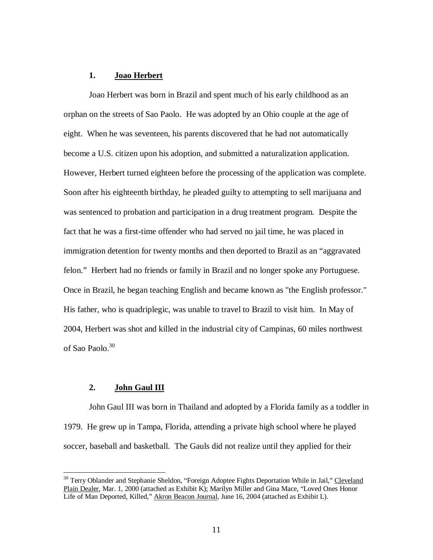# **1. Joao Herbert**

Joao Herbert was born in Brazil and spent much of his early childhood as an orphan on the streets of Sao Paolo. He was adopted by an Ohio couple at the age of eight. When he was seventeen, his parents discovered that he had not automatically become a U.S. citizen upon his adoption, and submitted a naturalization application. However, Herbert turned eighteen before the processing of the application was complete. Soon after his eighteenth birthday, he pleaded guilty to attempting to sell marijuana and was sentenced to probation and participation in a drug treatment program. Despite the fact that he was a first-time offender who had served no jail time, he was placed in immigration detention for twenty months and then deported to Brazil as an "aggravated felon." Herbert had no friends or family in Brazil and no longer spoke any Portuguese. Once in Brazil, he began teaching English and became known as "the English professor." His father, who is quadriplegic, was unable to travel to Brazil to visit him. In May of 2004, Herbert was shot and killed in the industrial city of Campinas, 60 miles northwest of Sao Paolo. 30

# **2. John Gaul III**

John Gaul III was born in Thailand and adopted by a Florida family as a toddler in 1979. He grew up in Tampa, Florida, attending a private high school where he played soccer, baseball and basketball. The Gauls did not realize until they applied for their

<sup>&</sup>lt;sup>30</sup> Terry Oblander and Stephanie Sheldon, "Foreign Adoptee Fights Deportation While in Jail," Cleveland Plain Dealer, Mar. 1, 2000 (attached as Exhibit K); Marilyn Miller and Gina Mace, "Loved Ones Honor Life of Man Deported, Killed," Akron Beacon Journal, June 16, 2004 (attached as Exhibit L).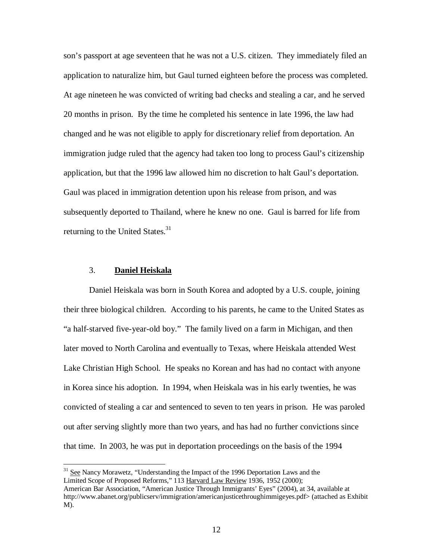son's passport at age seventeen that he was not a U.S. citizen. They immediately filed an application to naturalize him, but Gaul turned eighteen before the process was completed. At age nineteen he was convicted of writing bad checks and stealing a car, and he served 20 months in prison. By the time he completed his sentence in late 1996, the law had changed and he was not eligible to apply for discretionary relief from deportation. An immigration judge ruled that the agency had taken too long to process Gaul's citizenship application, but that the 1996 law allowed him no discretion to halt Gaul's deportation. Gaul was placed in immigration detention upon his release from prison, and was subsequently deported to Thailand, where he knew no one. Gaul is barred for life from returning to the United States.<sup>31</sup>

# 3. **Daniel Heiskala**

Daniel Heiskala was born in South Korea and adopted by a U.S. couple, joining their three biological children. According to his parents, he came to the United States as "a half-starved five-year-old boy." The family lived on a farm in Michigan, and then later moved to North Carolina and eventually to Texas, where Heiskala attended West Lake Christian High School. He speaks no Korean and has had no contact with anyone in Korea since his adoption. In 1994, when Heiskala was in his early twenties, he was convicted of stealing a car and sentenced to seven to ten years in prison. He was paroled out after serving slightly more than two years, and has had no further convictions since that time. In 2003, he was put in deportation proceedings on the basis of the 1994

<sup>&</sup>lt;sup>31</sup> See Nancy Morawetz, "Understanding the Impact of the 1996 Deportation Laws and the Limited Scope of Proposed Reforms," 113 Harvard Law Review 1936, 1952 (2000); American Bar Association, "American Justice Through Immigrants' Eyes" (2004), at 34, available at http://www.abanet.org/publicserv/immigration/americanjusticethroughimmigeyes.pdf> (attached as Exhibit M).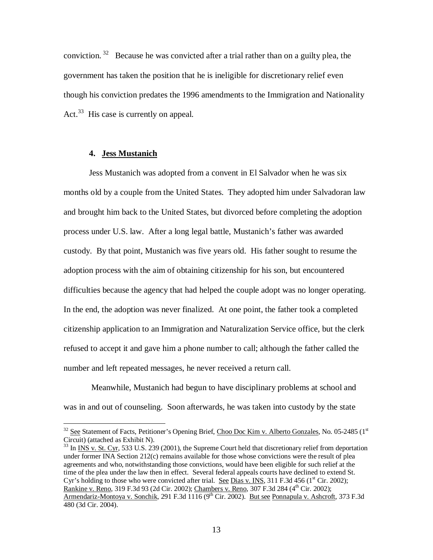conviction.<sup>32</sup> Because he was convicted after a trial rather than on a guilty plea, the government has taken the position that he is ineligible for discretionary relief even though his conviction predates the 1996 amendments to the Immigration and Nationality Act.<sup>33</sup> His case is currently on appeal.

# **4. Jess Mustanich**

Jess Mustanich was adopted from a convent in El Salvador when he was six months old by a couple from the United States. They adopted him under Salvadoran law and brought him back to the United States, but divorced before completing the adoption process under U.S. law. After a long legal battle, Mustanich's father was awarded custody. By that point, Mustanich was five years old. His father sought to resume the adoption process with the aim of obtaining citizenship for his son, but encountered difficulties because the agency that had helped the couple adopt was no longer operating. In the end, the adoption was never finalized. At one point, the father took a completed citizenship application to an Immigration and Naturalization Service office, but the clerk refused to accept it and gave him a phone number to call; although the father called the number and left repeated messages, he never received a return call.

Meanwhile, Mustanich had begun to have disciplinary problems at school and was in and out of counseling. Soon afterwards, he was taken into custody by the state

<sup>&</sup>lt;sup>32</sup> See Statement of Facts, Petitioner's Opening Brief, Choo Doc Kim v. Alberto Gonzales, No. 05-2485 (1st Circuit) (attached as Exhibit N).

<sup>&</sup>lt;sup>33</sup> In <u>INS v. St. Cyr</u>, 533 U.S. 239 (2001), the Supreme Court held that discretionary relief from deportation under former INA Section 212(c) remains available for those whose convictions were the result of plea agreements and who, notwithstanding those convictions, would have been eligible for such relief at the time of the plea under the law then in effect. Several federal appeals courts have declined to extend St. Cyr's holding to those who were convicted after trial. See Dias v. INS, 311 F.3d 456 (1<sup>st</sup> Cir. 2002); Rankine v. Reno, 319 F.3d 93 (2d Cir. 2002); Chambers v. Reno, 307 F.3d 284 (4<sup>th</sup> Cir. 2002); Armendariz-Montoya v. Sonchik, 291 F.3d 1116 (9<sup>th</sup> Cir. 2002). But see Ponnapula v. Ashcroft, 373 F.3d 480 (3d Cir. 2004).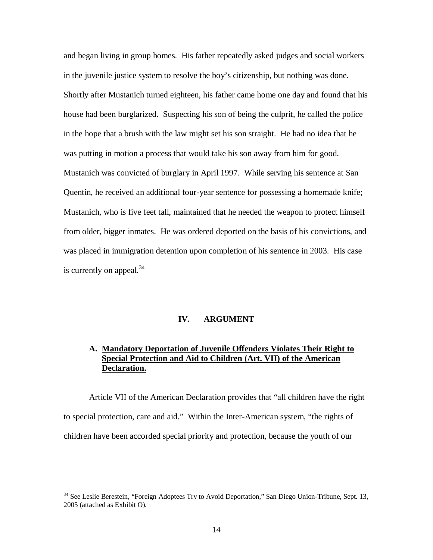and began living in group homes. His father repeatedly asked judges and social workers in the juvenile justice system to resolve the boy's citizenship, but nothing was done. Shortly after Mustanich turned eighteen, his father came home one day and found that his house had been burglarized. Suspecting his son of being the culprit, he called the police in the hope that a brush with the law might set his son straight. He had no idea that he was putting in motion a process that would take his son away from him for good. Mustanich was convicted of burglary in April 1997. While serving his sentence at San Quentin, he received an additional four-year sentence for possessing a homemade knife; Mustanich, who is five feet tall, maintained that he needed the weapon to protect himself from older, bigger inmates. He was ordered deported on the basis of his convictions, and was placed in immigration detention upon completion of his sentence in 2003. His case is currently on appeal.<sup>34</sup>

# **IV. ARGUMENT**

# **A. Mandatory Deportation of Juvenile Offenders Violates Their Right to Special Protection and Aid to Children (Art. VII) of the American Declaration.**

Article VII of the American Declaration provides that "all children have the right to special protection, care and aid." Within the Inter-American system, "the rights of children have been accorded special priority and protection, because the youth of our

<sup>&</sup>lt;sup>34</sup> See Leslie Berestein, "Foreign Adoptees Try to Avoid Deportation," San Diego Union-Tribune, Sept. 13, 2005 (attached as Exhibit O).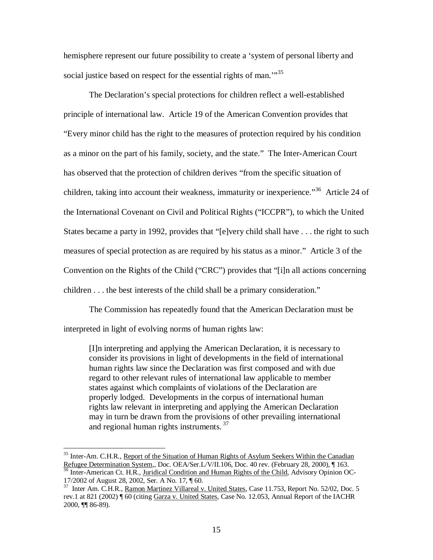hemisphere represent our future possibility to create a 'system of personal liberty and social justice based on respect for the essential rights of man."<sup>35</sup>

The Declaration's special protections for children reflect a well-established principle of international law. Article 19 of the American Convention provides that "Every minor child has the right to the measures of protection required by his condition as a minor on the part of his family, society, and the state." The Inter-American Court has observed that the protection of children derives "from the specific situation of children, taking into account their weakness, immaturity or inexperience."<sup>36</sup> Article 24 of the International Covenant on Civil and Political Rights ("ICCPR"), to which the United States became a party in 1992, provides that "[e]very child shall have . . . the right to such measures of special protection as are required by his status as a minor." Article 3 of the Convention on the Rights of the Child ("CRC") provides that "[i]n all actions concerning children . . . the best interests of the child shall be a primary consideration."

The Commission has repeatedly found that the American Declaration must be interpreted in light of evolving norms of human rights law:

[I]n interpreting and applying the American Declaration, it is necessary to consider its provisions in light of developments in the field of international human rights law since the Declaration was first composed and with due regard to other relevant rules of international law applicable to member states against which complaints of violations of the Declaration are properly lodged. Developments in the corpus of international human rights law relevant in interpreting and applying the American Declaration may in turn be drawn from the provisions of other prevailing international and regional human rights instruments.<sup>37</sup>

<sup>&</sup>lt;sup>35</sup> Inter-Am. C.H.R., Report of the Situation of Human Rights of Asylum Seekers Within the Canadian Refugee Determination System,, Doc. OEA/Ser.L/V/II.106, Doc. 40 rev. (February 28, 2000), ¶ 163. <sup>36</sup> Inter-American Ct. H.R., Juridical Condition and Human Rights of the Child, Advisory Opinion OC-

<sup>17/2002</sup> of August 28, 2002, Ser. A No. 17, ¶ 60.

<sup>&</sup>lt;sup>37</sup> Inter Am. C.H.R., Ramon Martinez Villareal v. United States, Case 11.753, Report No. 52/02, Doc. 5 rev.1 at 821 (2002) ¶ 60 (citing Garza v. United States, Case No. 12.053, Annual Report of the IACHR 2000, ¶¶ 86-89).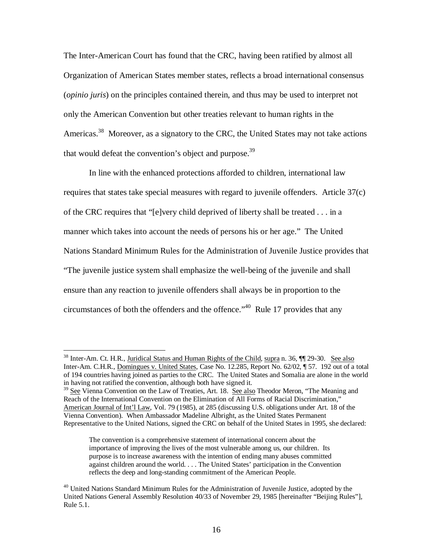The Inter-American Court has found that the CRC, having been ratified by almost all Organization of American States member states, reflects a broad international consensus (*opinio juris*) on the principles contained therein, and thus may be used to interpret not only the American Convention but other treaties relevant to human rights in the Americas.<sup>38</sup> Moreover, as a signatory to the CRC, the United States may not take actions that would defeat the convention's object and purpose.<sup>39</sup>

In line with the enhanced protections afforded to children, international law requires that states take special measures with regard to juvenile offenders. Article 37(c) of the CRC requires that "[e]very child deprived of liberty shall be treated . . . in a manner which takes into account the needs of persons his or her age." The United Nations Standard Minimum Rules for the Administration of Juvenile Justice provides that "The juvenile justice system shall emphasize the well-being of the juvenile and shall ensure than any reaction to juvenile offenders shall always be in proportion to the circumstances of both the offenders and the offence." <sup>40</sup> Rule 17 provides that any

<sup>&</sup>lt;sup>38</sup> Inter-Am. Ct. H.R., Juridical Status and Human Rights of the Child, supra n. 36, ¶ 29-30. See also Inter-Am. C.H.R., Domingues v. United States, Case No. 12.285, Report No. 62/02, ¶ 57. 192 out of a total of 194 countries having joined as parties to the CRC. The United States and Somalia are alone in the world in having not ratified the convention, although both have signed it.

<sup>&</sup>lt;sup>39</sup> See Vienna Convention on the Law of Treaties, Art. 18. See also Theodor Meron, "The Meaning and Reach of the International Convention on the Elimination of All Forms of Racial Discrimination," American Journal of Int'l Law, Vol. 79 (1985), at 285 (discussing U.S. obligations under Art. 18 of the Vienna Convention). When Ambassador Madeline Albright, as the United States Permanent Representative to the United Nations, signed the CRC on behalf of the United States in 1995, she declared:

The convention is a comprehensive statement of international concern about the importance of improving the lives of the most vulnerable among us, our children. Its purpose is to increase awareness with the intention of ending many abuses committed against children around the world. . . . The United States' participation in the Convention reflects the deep and long-standing commitment of the American People.

<sup>&</sup>lt;sup>40</sup> United Nations Standard Minimum Rules for the Administration of Juvenile Justice, adopted by the United Nations General Assembly Resolution 40/33 of November 29, 1985 [hereinafter "Beijing Rules"], Rule 5.1.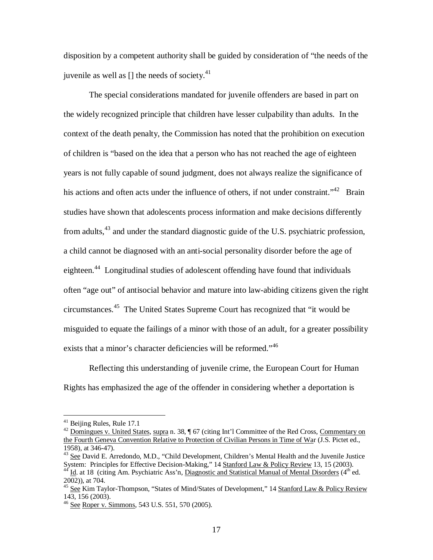disposition by a competent authority shall be guided by consideration of "the needs of the juvenile as well as [] the needs of society.<sup>41</sup>

The special considerations mandated for juvenile offenders are based in part on the widely recognized principle that children have lesser culpability than adults. In the context of the death penalty, the Commission has noted that the prohibition on execution of children is "based on the idea that a person who has not reached the age of eighteen years is not fully capable of sound judgment, does not always realize the significance of his actions and often acts under the influence of others, if not under constraint."<sup>42</sup> Brain studies have shown that adolescents process information and make decisions differently from adults,<sup>43</sup> and under the standard diagnostic guide of the U.S. psychiatric profession, a child cannot be diagnosed with an anti-social personality disorder before the age of eighteen.<sup>44</sup> Longitudinal studies of adolescent offending have found that individuals often "age out" of antisocial behavior and mature into law-abiding citizens given the right circumstances. 45 The United States Supreme Court has recognized that "it would be misguided to equate the failings of a minor with those of an adult, for a greater possibility exists that a minor's character deficiencies will be reformed."<sup>46</sup>

Reflecting this understanding of juvenile crime, the European Court for Human Rights has emphasized the age of the offender in considering whether a deportation is

<sup>41</sup> Beijing Rules, Rule 17.1

<sup>&</sup>lt;sup>42</sup> Domingues v. United States, supra n. 38, ¶ 67 (citing Int'l Committee of the Red Cross, Commentary on the Fourth Geneva Convention Relative to Protection of Civilian Persons in Time of War (J.S. Pictet ed., 1958), at 346-47).

<sup>&</sup>lt;sup>43</sup> See David E. Arredondo, M.D., "Child Development, Children's Mental Health and the Juvenile Justice System: Principles for Effective Decision-Making," 14 Stanford Law & Policy Review 13, 15 (2003). <sup>44</sup> Id. at 18 (citing Am. Psychiatric Ass'n, Diagnostic and Statistical Manual of Mental Disorders (4<sup>th</sup> ed. 2002)), at 704.

<sup>&</sup>lt;sup>45</sup> See Kim Taylor-Thompson, "States of Mind/States of Development," 14 Stanford Law & Policy Review 143, 156 (2003).

<sup>&</sup>lt;sup>46</sup> See Roper v. Simmons, 543 U.S. 551, 570 (2005).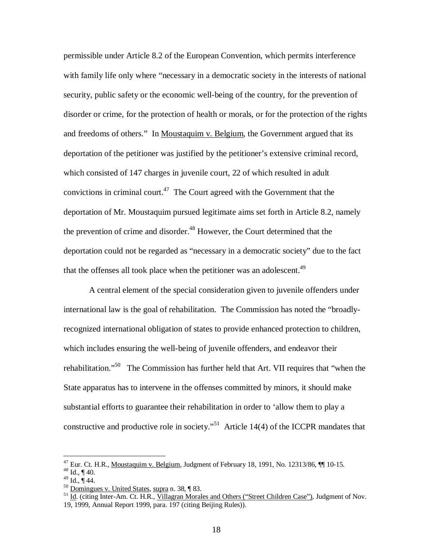permissible under Article 8.2 of the European Convention, which permits interference with family life only where "necessary in a democratic society in the interests of national security, public safety or the economic well-being of the country, for the prevention of disorder or crime, for the protection of health or morals, or for the protection of the rights and freedoms of others." In Moustaquim v. Belgium, the Government argued that its deportation of the petitioner was justified by the petitioner's extensive criminal record, which consisted of 147 charges in juvenile court, 22 of which resulted in adult convictions in criminal court.<sup>47</sup> The Court agreed with the Government that the deportation of Mr. Moustaquim pursued legitimate aims set forth in Article 8.2, namely the prevention of crime and disorder.<sup>48</sup> However, the Court determined that the deportation could not be regarded as "necessary in a democratic society" due to the fact that the offenses all took place when the petitioner was an adolescent.<sup>49</sup>

A central element of the special consideration given to juvenile offenders under international law is the goal of rehabilitation. The Commission has noted the "broadlyrecognized international obligation of states to provide enhanced protection to children, which includes ensuring the well-being of juvenile offenders, and endeavor their rehabilitation."<sup>50</sup> The Commission has further held that Art. VII requires that "when the State apparatus has to intervene in the offenses committed by minors, it should make substantial efforts to guarantee their rehabilitation in order to 'allow them to play a constructive and productive role in society."<sup>51</sup> Article 14(4) of the ICCPR mandates that

 $^{47}$  Eur. Ct. H.R., Moustaquim v. Belgium, Judgment of February 18, 1991, No. 12313/86,  $\P$  10-15.

 $48$  Id., ¶ 40.

 $^{49}$  Id., ¶ 44.

<sup>&</sup>lt;sup>50</sup> Domingues v. United States, supra n. 38, ¶ 83.

<sup>&</sup>lt;sup>51</sup> Id. (citing Inter-Am. Ct. H.R., Villagran Morales and Others ("Street Children Case"), Judgment of Nov. 19, 1999, Annual Report 1999, para. 197 (citing Beijing Rules)).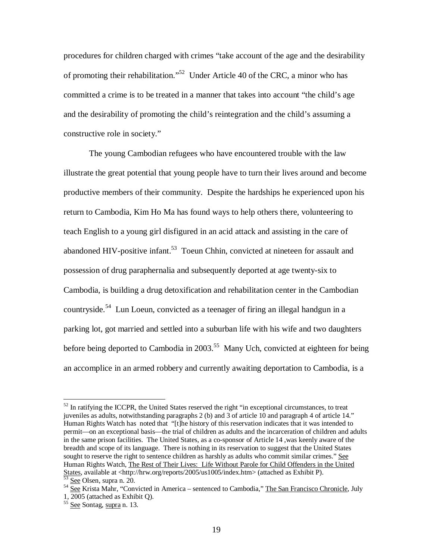procedures for children charged with crimes "take account of the age and the desirability of promoting their rehabilitation."<sup>52</sup> Under Article 40 of the CRC, a minor who has committed a crime is to be treated in a manner that takes into account "the child's age and the desirability of promoting the child's reintegration and the child's assuming a constructive role in society."

The young Cambodian refugees who have encountered trouble with the law illustrate the great potential that young people have to turn their lives around and become productive members of their community. Despite the hardships he experienced upon his return to Cambodia, Kim Ho Ma has found ways to help others there, volunteering to teach English to a young girl disfigured in an acid attack and assisting in the care of abandoned HIV-positive infant.<sup>53</sup> Toeun Chhin, convicted at nineteen for assault and possession of drug paraphernalia and subsequently deported at age twenty-six to Cambodia, is building a drug detoxification and rehabilitation center in the Cambodian countryside.<sup>54</sup> Lun Loeun, convicted as a teenager of firing an illegal handgun in a parking lot, got married and settled into a suburban life with his wife and two daughters before being deported to Cambodia in 2003.<sup>55</sup> Many Uch, convicted at eighteen for being an accomplice in an armed robbery and currently awaiting deportation to Cambodia, is a

 $52$  In ratifying the ICCPR, the United States reserved the right "in exceptional circumstances, to treat juveniles as adults, notwithstanding paragraphs 2 (b) and 3 of article 10 and paragraph 4 of article 14." Human Rights Watch has noted that "[t]he history of this reservation indicates that it was intended to permit—on an exceptional basis—the trial of children as adults and the incarceration of children and adults in the same prison facilities. The United States, as a co-sponsor of Article 14 ,was keenly aware of the breadth and scope of its language. There is nothing in its reservation to suggest that the United States sought to reserve the right to sentence children as harshly as adults who commit similar crimes." See Human Rights Watch, The Rest of Their Lives: Life Without Parole for Child Offenders in the United States, available at <http://hrw.org/reports/2005/us1005/index.htm> (attached as Exhibit P).<br><sup>53</sup> See Olsen, surre p. 20 See Olsen, supra n. 20.

<sup>&</sup>lt;sup>54</sup> See Krista Mahr, "Convicted in America – sentenced to Cambodia," The San Francisco Chronicle, July 1, 2005 (attached as Exhibit Q).<br><sup>55</sup> <u>See</u> Sontag, <u>supra</u> n. 13.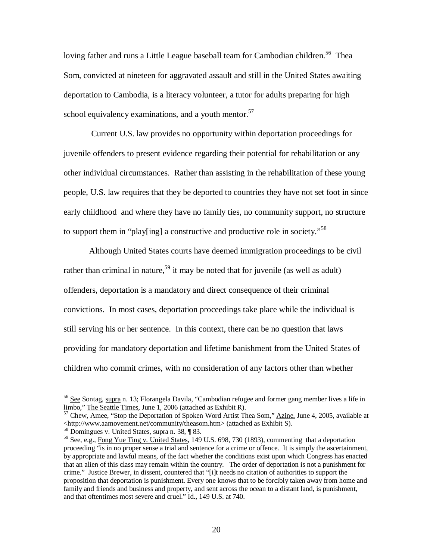loving father and runs a Little League baseball team for Cambodian children.<sup>56</sup> Thea Som, convicted at nineteen for aggravated assault and still in the United States awaiting deportation to Cambodia, is a literacy volunteer, a tutor for adults preparing for high school equivalency examinations, and a youth mentor.<sup>57</sup>

Current U.S. law provides no opportunity within deportation proceedings for juvenile offenders to present evidence regarding their potential for rehabilitation or any other individual circumstances. Rather than assisting in the rehabilitation of these young people, U.S. law requires that they be deported to countries they have not set foot in since early childhood and where they have no family ties, no community support, no structure to support them in "play[ing] a constructive and productive role in society."<sup>58</sup>

Although United States courts have deemed immigration proceedings to be civil rather than criminal in nature,<sup>59</sup> it may be noted that for juvenile (as well as adult) offenders, deportation is a mandatory and direct consequence of their criminal convictions. In most cases, deportation proceedings take place while the individual is still serving his or her sentence. In this context, there can be no question that laws providing for mandatory deportation and lifetime banishment from the United States of children who commit crimes, with no consideration of any factors other than whether

<sup>&</sup>lt;sup>56</sup> See Sontag, supra n. 13; Florangela Davila, "Cambodian refugee and former gang member lives a life in limbo," The Seattle Times, June 1, 2006 (attached as Exhibit R).

<sup>&</sup>lt;sup>57</sup> Chew, Amee, "Stop the Deportation of Spoken Word Artist Thea Som," Azine, June 4, 2005, available at <http://www.aamovement.net/community/theasom.htm> (attached as Exhibit S).

 $58$  Domingues v. United States, supra n. 38,  $\sqrt{8}$  83.

<sup>&</sup>lt;sup>59</sup> See, e.g., Fong Yue Ting v. United States, 149 U.S. 698, 730 (1893), commenting that a deportation proceeding "is in no proper sense a trial and sentence for a crime or offence. It is simply the ascertainment, by appropriate and lawful means, of the fact whether the conditions exist upon which Congress has enacted that an alien of this class may remain within the country. The order of deportation is not a punishment for crime." Justice Brewer, in dissent, countered that "[i]t needs no citation of authorities to support the proposition that deportation is punishment. Every one knows that to be forcibly taken away from home and family and friends and business and property, and sent across the ocean to a distant land, is punishment, and that oftentimes most severe and cruel." Id., 149 U.S. at 740.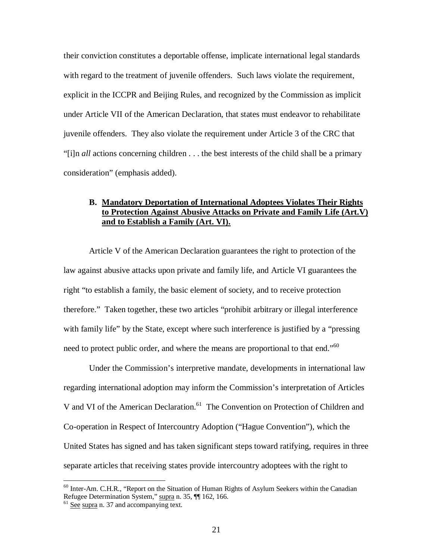their conviction constitutes a deportable offense, implicate international legal standards with regard to the treatment of juvenile offenders. Such laws violate the requirement, explicit in the ICCPR and Beijing Rules, and recognized by the Commission as implicit under Article VII of the American Declaration, that states must endeavor to rehabilitate juvenile offenders. They also violate the requirement under Article 3 of the CRC that "[i]n *all* actions concerning children . . . the best interests of the child shall be a primary consideration" (emphasis added).

# **B. Mandatory Deportation of International Adoptees Violates Their Rights to Protection Against Abusive Attacks on Private and Family Life (Art.V) and to Establish a Family (Art. VI).**

Article V of the American Declaration guarantees the right to protection of the law against abusive attacks upon private and family life, and Article VI guarantees the right "to establish a family, the basic element of society, and to receive protection therefore." Taken together, these two articles "prohibit arbitrary or illegal interference with family life" by the State, except where such interference is justified by a "pressing need to protect public order, and where the means are proportional to that end."<sup>60</sup>

Under the Commission's interpretive mandate, developments in international law regarding international adoption may inform the Commission's interpretation of Articles V and VI of the American Declaration.<sup>61</sup> The Convention on Protection of Children and Co-operation in Respect of Intercountry Adoption ("Hague Convention"), which the United States has signed and has taken significant steps toward ratifying, requires in three separate articles that receiving states provide intercountry adoptees with the right to

<sup>&</sup>lt;sup>60</sup> Inter-Am. C.H.R., "Report on the Situation of Human Rights of Asylum Seekers within the Canadian Refugee Determination System,"  $\frac{\text{supra}}{\text{supra}}$  n. 35,  $\P\P$  162, 166.

See supra n. 37 and accompanying text.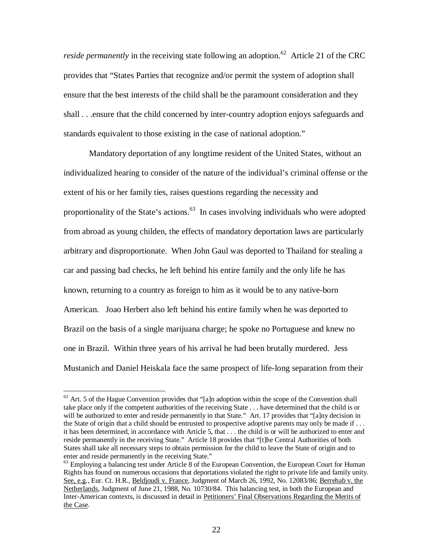*reside permanently* in the receiving state following an adoption. <sup>62</sup> Article 21 of the CRC provides that "States Parties that recognize and/or permit the system of adoption shall ensure that the best interests of the child shall be the paramount consideration and they shall . . .ensure that the child concerned by inter-country adoption enjoys safeguards and standards equivalent to those existing in the case of national adoption."

Mandatory deportation of any longtime resident of the United States, without an individualized hearing to consider of the nature of the individual's criminal offense or the extent of his or her family ties, raises questions regarding the necessity and proportionality of the State's actions.<sup>63</sup> In cases involving individuals who were adopted from abroad as young childen, the effects of mandatory deportation laws are particularly arbitrary and disproportionate. When John Gaul was deported to Thailand for stealing a car and passing bad checks, he left behind his entire family and the only life he has known, returning to a country as foreign to him as it would be to any native-born American. Joao Herbert also left behind his entire family when he was deported to Brazil on the basis of a single marijuana charge; he spoke no Portuguese and knew no one in Brazil. Within three years of his arrival he had been brutally murdered. Jess Mustanich and Daniel Heiskala face the same prospect of life-long separation from their

 $62$  Art. 5 of the Hague Convention provides that "[a]n adoption within the scope of the Convention shall take place only if the competent authorities of the receiving State . . . have determined that the child is or will be authorized to enter and reside permanently in that State." Art. 17 provides that "[a]ny decision in the State of origin that a child should be entrusted to prospective adoptive parents may only be made if . . . it has been determined, in accordance with Article 5, that . . . the child is or will be authorized to enter and reside permanently in the receiving State." Article 18 provides that "[t]he Central Authorities of both States shall take all necessary steps to obtain permission for the child to leave the State of origin and to enter and reside permanently in the receiving State."

<sup>&</sup>lt;sup>63</sup> Employing a balancing test under Article 8 of the European Convention, the European Court for Human Rights has found on numerous occasions that deportations violated the right to private life and family unity. See, e.g*.*, Eur. Ct. H.R., Beldjoudi v. France, Judgment of March 26, 1992, No. 12083/86; Berrehab v. the Netherlands, Judgment of June 21, 1988, No. 10730/84. This balancing test, in both the European and Inter-American contexts, is discussed in detail in Petitioners' Final Observations Regarding the Merits of the Case.